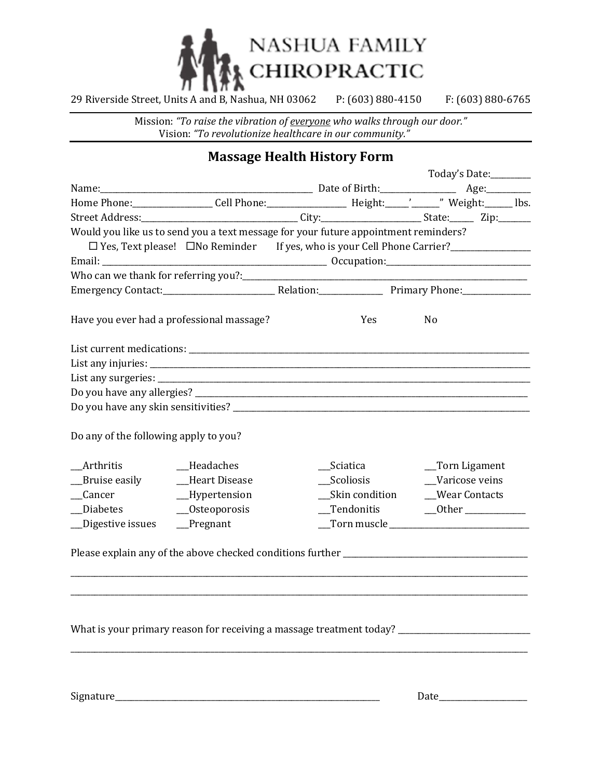

29 Riverside Street, Units A and B, Nashua, NH 03062 P: (603) 880-4150 F: (603) 880-6765

Mission: *"To raise the vibration of everyone who walks through our door."* Vision: *"To revolutionize healthcare in our community."*

## **Massage Health History Form**

|                                           |                                                                                                                                                        |  |                              | Today's Date:________ |                |  |  |
|-------------------------------------------|--------------------------------------------------------------------------------------------------------------------------------------------------------|--|------------------------------|-----------------------|----------------|--|--|
|                                           |                                                                                                                                                        |  |                              |                       |                |  |  |
|                                           |                                                                                                                                                        |  |                              |                       |                |  |  |
|                                           | Street Address:__________________________________City:_______________________State:________Zip:__________                                              |  |                              |                       |                |  |  |
|                                           | Would you like us to send you a text message for your future appointment reminders?                                                                    |  |                              |                       |                |  |  |
|                                           | □ Yes, Text please! □ No Reminder If yes, who is your Cell Phone Carrier?<br>□ Yes, Text please! □ No Reminder If yes, who is your Cell Phone Carrier? |  |                              |                       |                |  |  |
|                                           |                                                                                                                                                        |  |                              |                       |                |  |  |
|                                           |                                                                                                                                                        |  |                              |                       |                |  |  |
|                                           |                                                                                                                                                        |  |                              |                       |                |  |  |
| Have you ever had a professional massage? |                                                                                                                                                        |  | Yes                          |                       | N <sub>o</sub> |  |  |
|                                           |                                                                                                                                                        |  |                              |                       |                |  |  |
|                                           |                                                                                                                                                        |  |                              |                       |                |  |  |
|                                           |                                                                                                                                                        |  |                              |                       |                |  |  |
|                                           |                                                                                                                                                        |  |                              |                       |                |  |  |
|                                           |                                                                                                                                                        |  |                              |                       |                |  |  |
| Do any of the following apply to you?     |                                                                                                                                                        |  |                              |                       |                |  |  |
| __Arthritis                               | _Headaches                                                                                                                                             |  | __Sciatica                   |                       | _Torn Ligament |  |  |
| __Bruise easily                           | Heart Disease                                                                                                                                          |  | Scoliosis                    |                       | Varicose veins |  |  |
| _Cancer                                   | _Hypertension                                                                                                                                          |  |                              |                       |                |  |  |
| _Diabetes                                 | $_$ Osteoporosis                                                                                                                                       |  |                              |                       |                |  |  |
| __Digestive issues                        | $P$ regnant                                                                                                                                            |  | $\Gamma$ orn muscle $\Gamma$ |                       |                |  |  |
|                                           |                                                                                                                                                        |  |                              |                       |                |  |  |
|                                           | What is your primary reason for receiving a massage treatment today?                                                                                   |  |                              |                       |                |  |  |